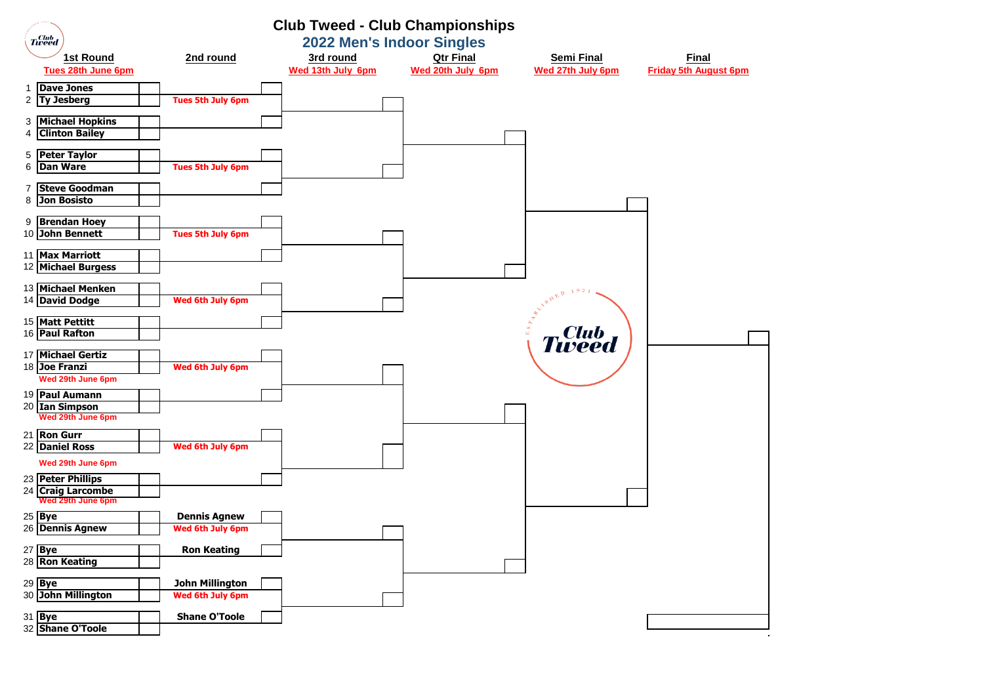